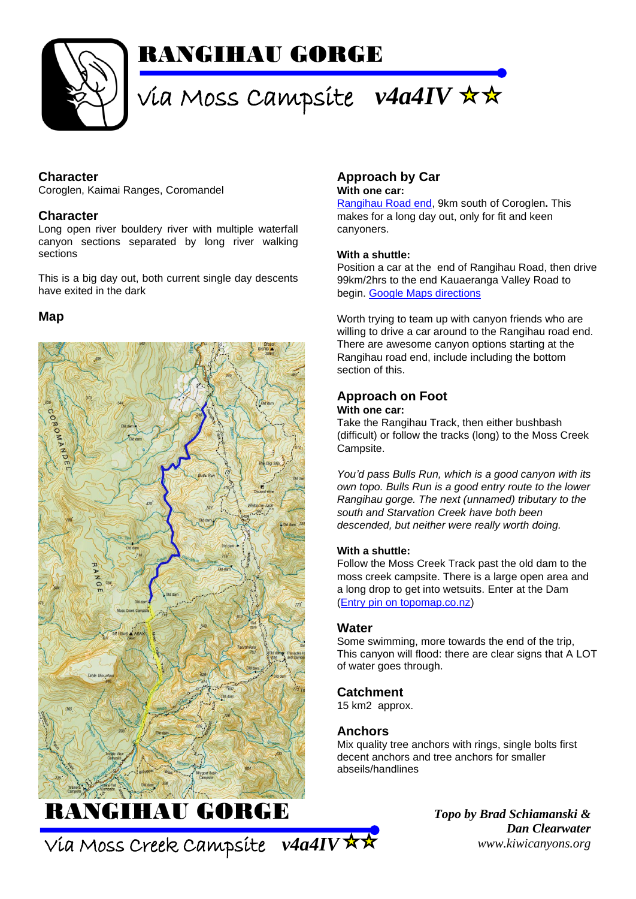

## RANGIHAU GORGE

# via Moss Campsite *v4a4IV*

#### **Character**

Coroglen, Kaimai Ranges, Coromandel

#### **Character**

Long open river bouldery river with multiple waterfall canyon sections separated by long river walking sections

This is a big day out, both current single day descents have exited in the dark

#### **Map**



### **Approach by Car**

**With one car:**

[Rangihau Road end,](https://goo.gl/maps/Q9ThXzb7huKkagEQ6) 9km south of Coroglen**.** This makes for a long day out, only for fit and keen canyoners.

#### **With a shuttle:**

Position a car at the end of Rangihau Road, then drive 99km/2hrs to the end Kauaeranga Valley Road to begin. [Google Maps directions](https://goo.gl/maps/SGGihaPiwaWuC4Sf7)

Worth trying to team up with canyon friends who are willing to drive a car around to the Rangihau road end. There are awesome canyon options starting at the Rangihau road end, include including the bottom section of this.

#### **Approach on Foot**

#### **With one car:**

Take the Rangihau Track, then either bushbash (difficult) or follow the tracks (long) to the Moss Creek Campsite.

*You'd pass Bulls Run, which is a good canyon with its own topo. Bulls Run is a good entry route to the lower Rangihau gorge. The next (unnamed) tributary to the south and Starvation Creek have both been descended, but neither were really worth doing.* 

#### **With a shuttle:**

Follow the Moss Creek Track past the old dam to the moss creek campsite. There is a large open area and a long drop to get into wetsuits. Enter at the Dam [\(Entry pin on topomap.co.nz\)](http://www.topomap.co.nz/NZTopoMap?v=2&ll=-37.030034,175.674047&z=15&pin=1)

#### **Water**

Some swimming, more towards the end of the trip, This canyon will flood: there are clear signs that A LOT of water goes through.

#### **Catchment**

15 km2 approx.

#### **Anchors**

Mix quality tree anchors with rings, single bolts first decent anchors and tree anchors for smaller abseils/handlines

> *Topo by Brad Schiamanski & Dan Clearwater www.kiwicanyons.org*

Via Moss Creek Campsite *v4a4IV*